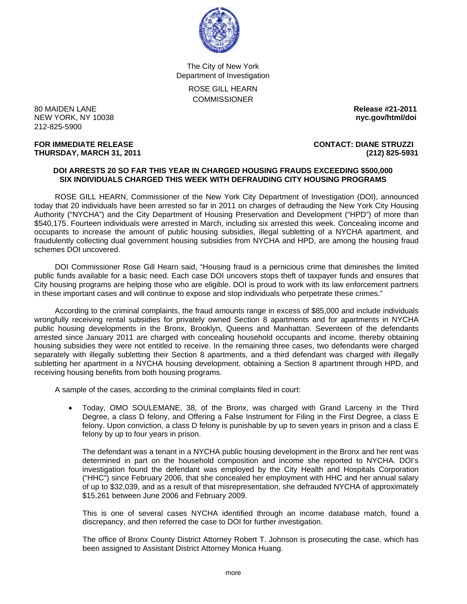

The City of New York Department of Investigation ROSE GILL HEARN **COMMISSIONER** 

80 MAIDEN LANE **Release #21-2011 NEW YORK, NY 10038** 212-825-5900

**FOR IMMEDIATE RELEASE CONTACT: DIANE STRUZZI THURSDAY, MARCH 31, 2011 (212) 825-5931**

## **DOI ARRESTS 20 SO FAR THIS YEAR IN CHARGED HOUSING FRAUDS EXCEEDING \$500,000 SIX INDIVIDUALS CHARGED THIS WEEK WITH DEFRAUDING CITY HOUSING PROGRAMS**

 ROSE GILL HEARN, Commissioner of the New York City Department of Investigation (DOI), announced today that 20 individuals have been arrested so far in 2011 on charges of defrauding the New York City Housing Authority ("NYCHA") and the City Department of Housing Preservation and Development ("HPD") of more than \$540,175. Fourteen individuals were arrested in March, including six arrested this week. Concealing income and occupants to increase the amount of public housing subsidies, illegal subletting of a NYCHA apartment, and fraudulently collecting dual government housing subsidies from NYCHA and HPD, are among the housing fraud schemes DOI uncovered.

 DOI Commissioner Rose Gill Hearn said, "Housing fraud is a pernicious crime that diminishes the limited public funds available for a basic need. Each case DOI uncovers stops theft of taxpayer funds and ensures that City housing programs are helping those who are eligible. DOI is proud to work with its law enforcement partners in these important cases and will continue to expose and stop individuals who perpetrate these crimes."

 According to the criminal complaints, the fraud amounts range in excess of \$85,000 and include individuals wrongfully receiving rental subsidies for privately owned Section 8 apartments and for apartments in NYCHA public housing developments in the Bronx, Brooklyn, Queens and Manhattan. Seventeen of the defendants arrested since January 2011 are charged with concealing household occupants and income, thereby obtaining housing subsidies they were not entitled to receive. In the remaining three cases, two defendants were charged separately with illegally subletting their Section 8 apartments, and a third defendant was charged with illegally subletting her apartment in a NYCHA housing development, obtaining a Section 8 apartment through HPD, and receiving housing benefits from both housing programs.

A sample of the cases, according to the criminal complaints filed in court:

• Today, OMO SOULEMANE, 38, of the Bronx, was charged with Grand Larceny in the Third Degree, a class D felony, and Offering a False Instrument for Filing in the First Degree, a class E felony. Upon conviction, a class D felony is punishable by up to seven years in prison and a class E felony by up to four years in prison.

The defendant was a tenant in a NYCHA public housing development in the Bronx and her rent was determined in part on the household composition and income she reported to NYCHA. DOI's investigation found the defendant was employed by the City Health and Hospitals Corporation ("HHC") since February 2006, that she concealed her employment with HHC and her annual salary of up to \$32,039, and as a result of that misrepresentation, she defrauded NYCHA of approximately \$15,261 between June 2006 and February 2009.

This is one of several cases NYCHA identified through an income database match, found a discrepancy, and then referred the case to DOI for further investigation.

The office of Bronx County District Attorney Robert T. Johnson is prosecuting the case, which has been assigned to Assistant District Attorney Monica Huang.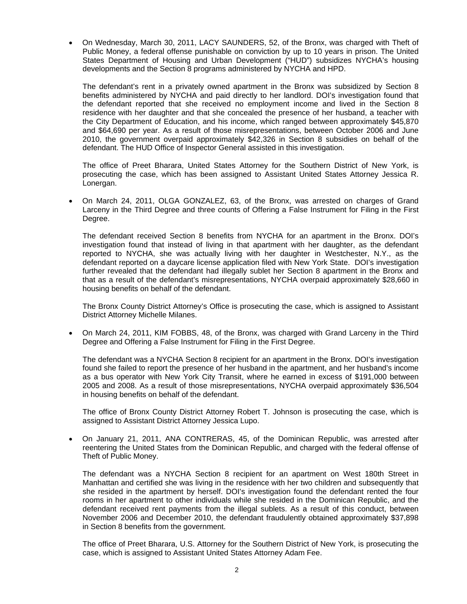• On Wednesday, March 30, 2011, LACY SAUNDERS, 52, of the Bronx, was charged with Theft of Public Money, a federal offense punishable on conviction by up to 10 years in prison. The United States Department of Housing and Urban Development ("HUD") subsidizes NYCHA's housing developments and the Section 8 programs administered by NYCHA and HPD.

The defendant's rent in a privately owned apartment in the Bronx was subsidized by Section 8 benefits administered by NYCHA and paid directly to her landlord. DOI's investigation found that the defendant reported that she received no employment income and lived in the Section 8 residence with her daughter and that she concealed the presence of her husband, a teacher with the City Department of Education, and his income, which ranged between approximately \$45,870 and \$64,690 per year. As a result of those misrepresentations, between October 2006 and June 2010, the government overpaid approximately \$42,326 in Section 8 subsidies on behalf of the defendant. The HUD Office of Inspector General assisted in this investigation.

The office of Preet Bharara, United States Attorney for the Southern District of New York, is prosecuting the case, which has been assigned to Assistant United States Attorney Jessica R. Lonergan.

• On March 24, 2011, OLGA GONZALEZ, 63, of the Bronx, was arrested on charges of Grand Larceny in the Third Degree and three counts of Offering a False Instrument for Filing in the First Degree.

The defendant received Section 8 benefits from NYCHA for an apartment in the Bronx. DOI's investigation found that instead of living in that apartment with her daughter, as the defendant reported to NYCHA, she was actually living with her daughter in Westchester, N.Y., as the defendant reported on a daycare license application filed with New York State. DOI's investigation further revealed that the defendant had illegally sublet her Section 8 apartment in the Bronx and that as a result of the defendant's misrepresentations, NYCHA overpaid approximately \$28,660 in housing benefits on behalf of the defendant.

The Bronx County District Attorney's Office is prosecuting the case, which is assigned to Assistant District Attorney Michelle Milanes.

• On March 24, 2011, KIM FOBBS, 48, of the Bronx, was charged with Grand Larceny in the Third Degree and Offering a False Instrument for Filing in the First Degree.

The defendant was a NYCHA Section 8 recipient for an apartment in the Bronx. DOI's investigation found she failed to report the presence of her husband in the apartment, and her husband's income as a bus operator with New York City Transit, where he earned in excess of \$191,000 between 2005 and 2008. As a result of those misrepresentations, NYCHA overpaid approximately \$36,504 in housing benefits on behalf of the defendant.

The office of Bronx County District Attorney Robert T. Johnson is prosecuting the case, which is assigned to Assistant District Attorney Jessica Lupo.

• On January 21, 2011, ANA CONTRERAS, 45, of the Dominican Republic, was arrested after reentering the United States from the Dominican Republic, and charged with the federal offense of Theft of Public Money.

The defendant was a NYCHA Section 8 recipient for an apartment on West 180th Street in Manhattan and certified she was living in the residence with her two children and subsequently that she resided in the apartment by herself. DOI's investigation found the defendant rented the four rooms in her apartment to other individuals while she resided in the Dominican Republic, and the defendant received rent payments from the illegal sublets. As a result of this conduct, between November 2006 and December 2010, the defendant fraudulently obtained approximately \$37,898 in Section 8 benefits from the government.

The office of Preet Bharara, U.S. Attorney for the Southern District of New York, is prosecuting the case, which is assigned to Assistant United States Attorney Adam Fee.